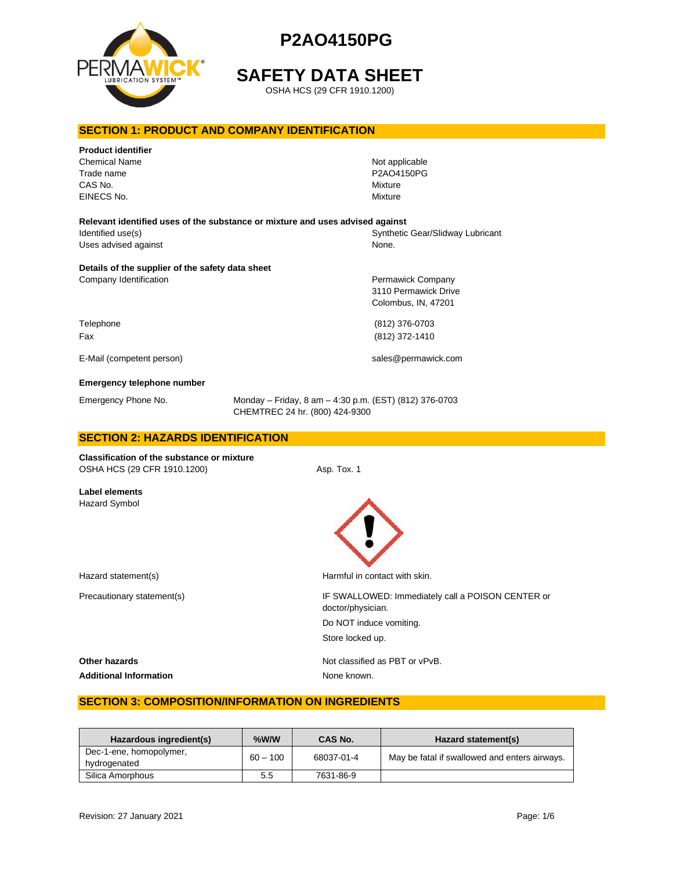

# **SAFETY DATA SHEET**

OSHA HCS (29 CFR 1910.1200)

# **SECTION 1: PRODUCT AND COMPANY IDENTIFICATION**

| <b>Product identifier</b><br><b>Chemical Name</b><br>Trade name<br>CAS No.<br>EINECS No. |                                                                                          | Not applicable<br>P2AO4150PG<br>Mixture<br>Mixture |
|------------------------------------------------------------------------------------------|------------------------------------------------------------------------------------------|----------------------------------------------------|
| Relevant identified uses of the substance or mixture and uses advised against            |                                                                                          |                                                    |
| Identified use(s)                                                                        |                                                                                          | Synthetic Gear/Slidway Lubricant                   |
| Uses advised against                                                                     |                                                                                          | None.                                              |
| Details of the supplier of the safety data sheet                                         |                                                                                          |                                                    |
| Company Identification                                                                   |                                                                                          | Permawick Company                                  |
|                                                                                          |                                                                                          | 3110 Permawick Drive                               |
|                                                                                          |                                                                                          | Colombus, IN, 47201                                |
| Telephone                                                                                |                                                                                          | (812) 376-0703                                     |
| Fax                                                                                      |                                                                                          | (812) 372-1410                                     |
|                                                                                          |                                                                                          |                                                    |
| E-Mail (competent person)                                                                |                                                                                          | sales@permawick.com                                |
| Emergency telephone number                                                               |                                                                                          |                                                    |
| Emergency Phone No.                                                                      | Monday - Friday, 8 am - 4:30 p.m. (EST) (812) 376-0703<br>CHEMTREC 24 hr. (800) 424-9300 |                                                    |
| <b>SECTION 2: HAZARDS IDENTIFICATION</b>                                                 |                                                                                          |                                                    |
| <b>Classification of the substance or mixture</b><br>OSHA HCS (29 CFR 1910.1200)         | Asp. Tox. 1                                                                              |                                                    |
| <b>Label elements</b><br><b>Hazard Symbol</b>                                            |                                                                                          |                                                    |
| Hazard statement(s)                                                                      |                                                                                          | Harmful in contact with skin.                      |

Precautionary statement(s) **IF SWALLOWED: Immediately call a POISON CENTER or** doctor/physician. Do NOT induce vomiting. Store locked up.

**Other hazards Other hazards Not classified as PBT or vPvB.** 

Additional Information **None known**.

# **SECTION 3: COMPOSITION/INFORMATION ON INGREDIENTS**

| Hazardous ingredient(s)                 | %W/W       | CAS No.    | Hazard statement(s)                           |
|-----------------------------------------|------------|------------|-----------------------------------------------|
| Dec-1-ene, homopolymer,<br>hydrogenated | $60 - 100$ | 68037-01-4 | May be fatal if swallowed and enters airways. |
| Silica Amorphous                        | 5.5        | 7631-86-9  |                                               |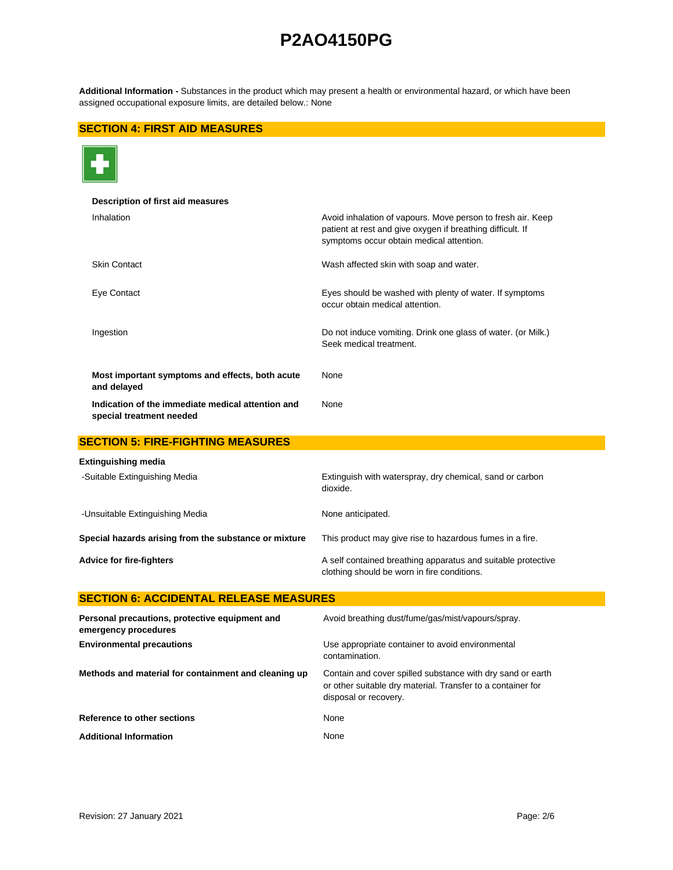**Additional Information -** Substances in the product which may present a health or environmental hazard, or which have been assigned occupational exposure limits, are detailed below.: None

# **SECTION 4: FIRST AID MEASURES**



| Description of first aid measures                                             |                                                                                                                                                                       |
|-------------------------------------------------------------------------------|-----------------------------------------------------------------------------------------------------------------------------------------------------------------------|
| Inhalation                                                                    | Avoid inhalation of vapours. Move person to fresh air. Keep<br>patient at rest and give oxygen if breathing difficult. If<br>symptoms occur obtain medical attention. |
| <b>Skin Contact</b>                                                           | Wash affected skin with soap and water.                                                                                                                               |
| Eye Contact                                                                   | Eyes should be washed with plenty of water. If symptoms<br>occur obtain medical attention.                                                                            |
| Ingestion                                                                     | Do not induce vomiting. Drink one glass of water. (or Milk.)<br>Seek medical treatment.                                                                               |
| Most important symptoms and effects, both acute<br>and delayed                | None                                                                                                                                                                  |
| Indication of the immediate medical attention and<br>special treatment needed | None                                                                                                                                                                  |
| <b>SECTION 5: FIRE-FIGHTING MEASURES</b>                                      |                                                                                                                                                                       |
| Extinguishing media                                                           |                                                                                                                                                                       |
| -Suitable Extinguishing Media                                                 | Extinguish with waterspray, dry chemical, sand or carbon<br>dioxide.                                                                                                  |
| -Unsuitable Extinguishing Media                                               | None anticipated.                                                                                                                                                     |
| Special hazards arising from the substance or mixture                         | This product may give rise to hazardous fumes in a fire.                                                                                                              |
| <b>Advice for fire-fighters</b>                                               | A self contained breathing apparatus and suitable protective<br>clothing should be worn in fire conditions.                                                           |
| <b>SECTION 6: ACCIDENTAL RELEASE MEASURES</b>                                 |                                                                                                                                                                       |
| Personal precautions, protective equipment and<br>emergency procedures        | Avoid breathing dust/fume/gas/mist/vapours/spray.                                                                                                                     |
| <b>Environmental precautions</b>                                              | Use appropriate container to avoid environmental<br>contamination.                                                                                                    |
| Methods and material for containment and cleaning up                          | Contain and cover spilled substance with dry sand or earth<br>or other suitable dry material. Transfer to a container for<br>disposal or recovery.                    |
| Reference to other sections                                                   | None                                                                                                                                                                  |

Additional Information **None** None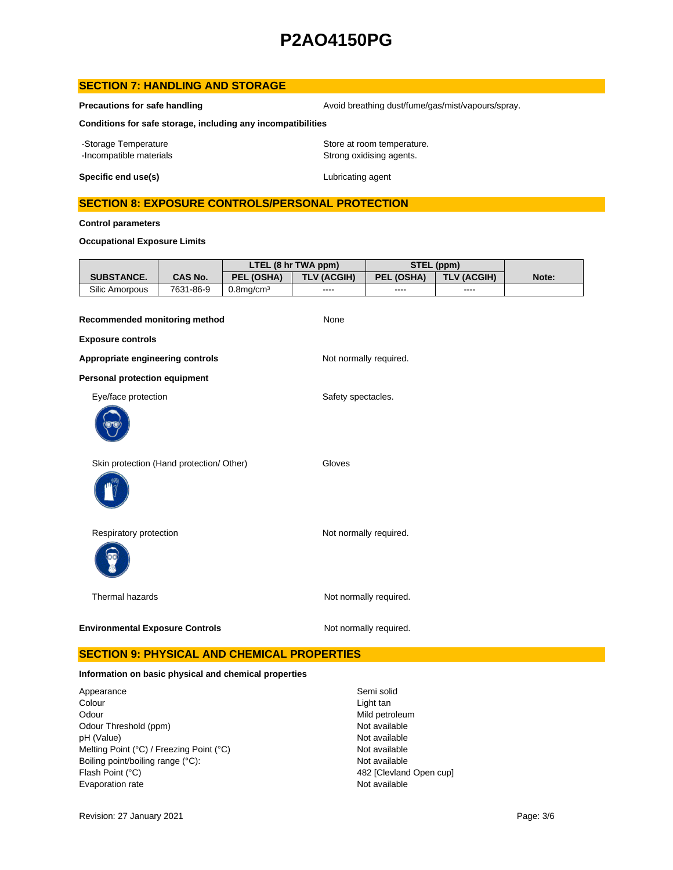# **SECTION 7: HANDLING AND STORAGE**

**Precautions for safe handling Avoid breathing dust/fume/gas/mist/vapours/spray.** Avoid breathing dust/fume/gas/mist/vapours/spray.

**Conditions for safe storage, including any incompatibilities**

-Storage Temperature **Storage Temperature** Store at room temperature. -Incompatible materials **Strong oxidising agents**.

**Specific end use(s)** Lubricating agent

## **SECTION 8: EXPOSURE CONTROLS/PERSONAL PROTECTION**

**Control parameters**

### **Occupational Exposure Limits**

|                   |           | LTEL (8 hr TWA ppm) |                    | STEL (ppm) |                    |       |
|-------------------|-----------|---------------------|--------------------|------------|--------------------|-------|
| <b>SUBSTANCE.</b> | CAS No.   | PEL (OSHA)          | <b>TLV (ACGIH)</b> | PEL (OSHA) | <b>TLV (ACGIH)</b> | Note: |
| Silic Amorpous    | 7631-86-9 | $0.8$ ma/cm $3$     | ----               | $- - - -$  | ----               |       |

| Recommended monitoring method            | None                   |
|------------------------------------------|------------------------|
| <b>Exposure controls</b>                 |                        |
| Appropriate engineering controls         | Not normally required. |
| <b>Personal protection equipment</b>     |                        |
| Eye/face protection                      | Safety spectacles.     |
| Skin protection (Hand protection/ Other) | Gloves                 |
| Respiratory protection                   | Not normally required. |
| Thermal hazards                          | Not normally required. |
| <b>Environmental Exposure Controls</b>   | Not normally required. |

# **SECTION 9: PHYSICAL AND CHEMICAL PROPERTIES**

#### **Information on basic physical and chemical properties**

Appearance Semi solid<br>
Colour Colour<br>
Colour Odour Mild petroleum<br>
Odour Threshold (ppm) states and the second of the Mot available<br>
Odour Threshold (ppm) Odour Threshold (ppm) Not available<br>
DH (Value) Not available<br>
Not available pH (Value)<br>
Mot available<br>
Melting Point (°C) / Freezing Point (°C) <br>
Mot available Melting Point (°C) / Freezing Point (°C) Boiling point/boiling range (°C): Not available Flash Point (°C) 482 [Clevland Open cup] Evaporation rate **Not available** 

Light tan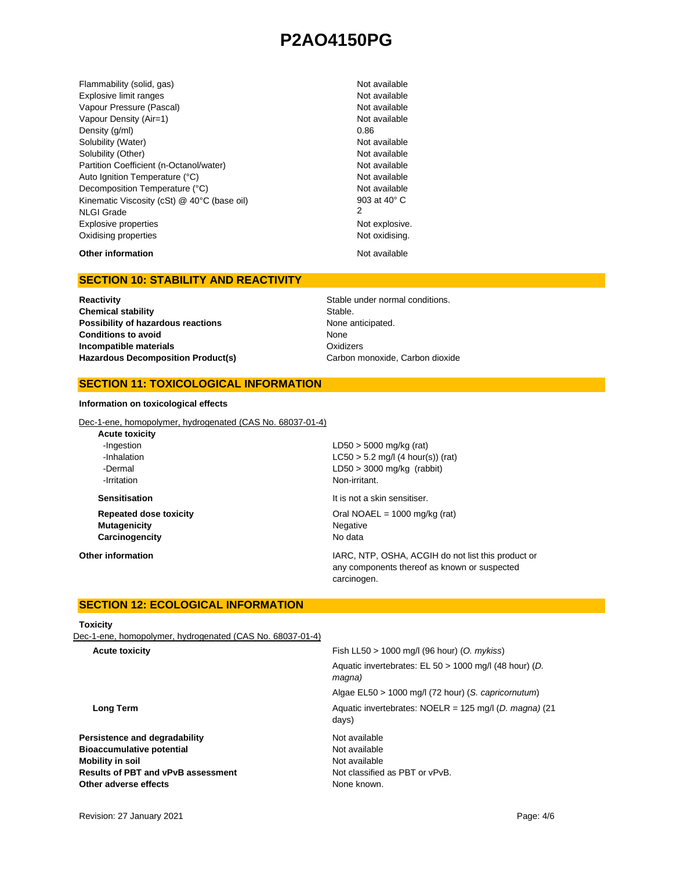Flammability (solid, gas) Not available Explosive limit ranges **Not available** Not available Vapour Pressure (Pascal) Not available Not available Vapour Density (Air=1) Not available Density  $(g/m)$  0.86 Solubility (Water) Not available Solubility (Other) Not available Partition Coefficient (n-Octanol/water) Not available Auto Ignition Temperature (°C) Not available Decomposition Temperature (°C) Not available Kinematic Viscosity (cSt) @ 40°C (base oil) NLGI Grade Explosive properties **Not explosive.** Not explosive. Oxidising properties Not oxidising.

903 at 40° C 2

# **Other information** Not available

### **SECTION 10: STABILITY AND REACTIVITY**

**Reactivity Reactivity Reactivity Reactivity Stable under normal conditions. Chemical stability** Stable. **Possibility of hazardous reactions None anticipated. Conditions to avoid Incompatible materials** Hazardous Decomposition Product(s) Carbon monoxide, Carbon dioxide

None **Oxidizers** 

### **SECTION 11: TOXICOLOGICAL INFORMATION**

#### **Information on toxicological effects**

Dec-1-ene, homopolymer, hydrogenated (CAS No. 68037-01-4)

| $LD50 > 5000$ mg/kg (rat)                                                                                         |
|-------------------------------------------------------------------------------------------------------------------|
| $LC50 > 5.2$ mg/l (4 hour(s)) (rat)                                                                               |
| $LD50 > 3000$ mg/kg (rabbit)                                                                                      |
| Non-irritant.                                                                                                     |
| It is not a skin sensitiser.                                                                                      |
| Oral NOAEL = $1000 \text{ mg/kg}$ (rat)                                                                           |
| Negative                                                                                                          |
| No data                                                                                                           |
| IARC, NTP, OSHA, ACGIH do not list this product or<br>any components thereof as known or suspected<br>carcinogen. |
|                                                                                                                   |

## **SECTION 12: ECOLOGICAL INFORMATION**

#### **Toxicity**

Dec-1-ene, homopolymer, hydrogenated (CAS No. 68037-01-4)

| Fish LL50 $> 1000$ mg/l (96 hour) (O. mykiss)                             |
|---------------------------------------------------------------------------|
| Aquatic invertebrates: EL 50 > 1000 mg/l (48 hour) (D.<br>magna)          |
| Algae EL50 > 1000 mg/l (72 hour) (S. capricornutum)                       |
| Aquatic invertebrates: NOELR = $125 \text{ mg/l}$ (D. magna) (21<br>days) |
| Not available                                                             |
| Not available                                                             |
| Not available                                                             |
| Not classified as PBT or vPvB.                                            |
| None known.                                                               |
|                                                                           |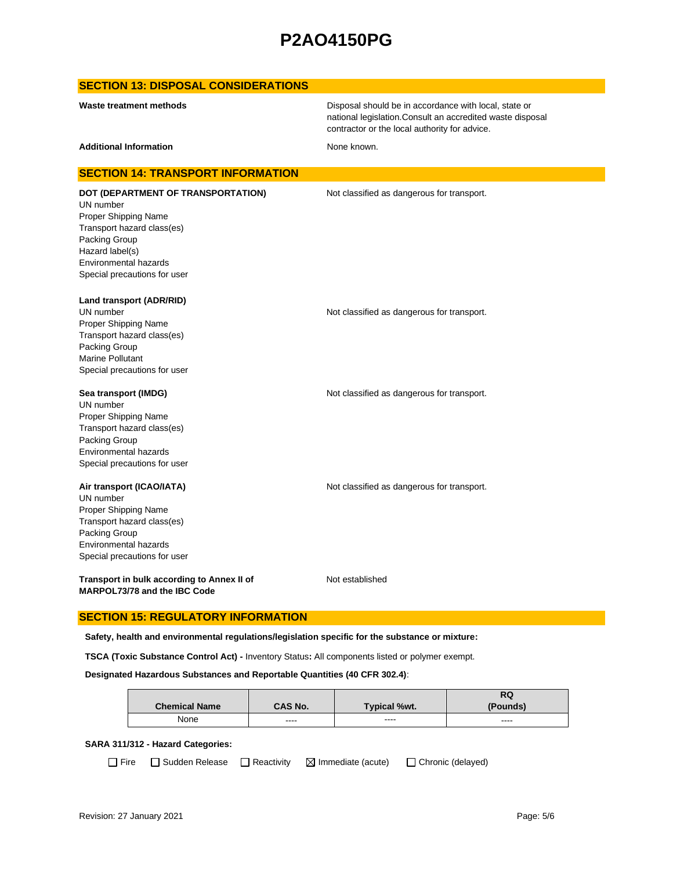### **SECTION 13: DISPOSAL CONSIDERATIONS**

Disposal should be in accordance with local, state or national legislation.Consult an accredited waste disposal contractor or the local authority for advice.

Additional Information **None known.** None known.

#### **SECTION 14: TRANSPORT INFORMATION**

UN number Proper Shipping Name Transport hazard class(es) Packing Group Hazard label(s) Environmental hazards Special precautions for user

**DOT (DEPARTMENT OF TRANSPORTATION)** Not classified as dangerous for transport.

**Land transport (ADR/RID)**

UN number **Not classified as dangerous for transport.** Proper Shipping Name Transport hazard class(es) Packing Group Marine Pollutant Special precautions for user

#### **Sea transport (IMDG) Not classified as dangerous for transport.** Not classified as dangerous for transport.

UN number Proper Shipping Name Transport hazard class(es) Packing Group Environmental hazards Special precautions for user

#### **Air transport (ICAO/IATA)** Not classified as dangerous for transport.

UN number Proper Shipping Name Transport hazard class(es) Packing Group Environmental hazards Special precautions for user

**Transport in bulk according to Annex II of MARPOL73/78 and the IBC Code**

Not established

### **SECTION 15: REGULATORY INFORMATION**

**Safety, health and environmental regulations/legislation specific for the substance or mixture:**

**TSCA (Toxic Substance Control Act) -** Inventory Status**:** All components listed or polymer exempt.

#### **Designated Hazardous Substances and Reportable Quantities (40 CFR 302.4)**:

|                      |         |                     | RQ       |
|----------------------|---------|---------------------|----------|
| <b>Chemical Name</b> | CAS No. | <b>Typical %wt.</b> | (Pounds) |
| None                 | ----    | ----                | ----     |

#### **SARA 311/312 - Hazard Categories:**

 $\Box$  Fire  $\Box$  Sudden Release  $\Box$  Reactivity  $\Box$  Immediate (acute)  $\Box$  Chronic (delayed)